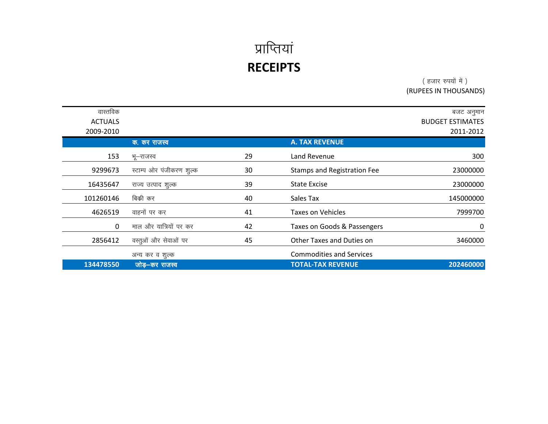( हजार रुपयों में ) (RUPEES IN THOUSANDS)

| वास्तविक       |                          |    |                                    | बजट अनुमान              |
|----------------|--------------------------|----|------------------------------------|-------------------------|
| <b>ACTUALS</b> |                          |    |                                    | <b>BUDGET ESTIMATES</b> |
| 2009-2010      |                          |    |                                    | 2011-2012               |
|                | क. कर राजस्व             |    | <b>A. TAX REVENUE</b>              |                         |
| 153            | भू—राजस्व                | 29 | Land Revenue                       | 300                     |
| 9299673        | स्टाम्प ओर पंजीकरण शुल्क | 30 | <b>Stamps and Registration Fee</b> | 23000000                |
| 16435647       | राज्य उत्पाद शूल्क       | 39 | <b>State Excise</b>                | 23000000                |
| 101260146      | बिकी कर                  | 40 | Sales Tax                          | 145000000               |
| 4626519        | वाहनों पर कर             | 41 | <b>Taxes on Vehicles</b>           | 7999700                 |
| $\mathbf{0}$   | माल और यात्रियों पर कर   | 42 | Taxes on Goods & Passengers        | 0                       |
| 2856412        | वस्तूओं और सेवाओं पर     | 45 | Other Taxes and Duties on          | 3460000                 |
|                | अन्य कर व शुल्क          |    | <b>Commodities and Services</b>    |                         |
| 134478550      | जोड़–कर राजस्व           |    | <b>TOTAL-TAX REVENUE</b>           | 202460000               |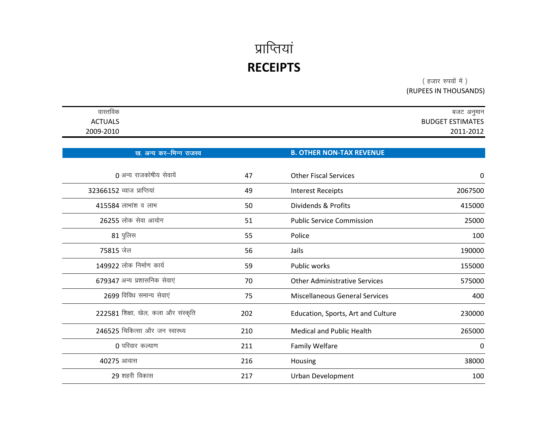( हजार रुपयों में ) (RUPEES IN THOUSANDS)

| वास्तविक                            |     |                                       | बजट अनुमान              |
|-------------------------------------|-----|---------------------------------------|-------------------------|
| <b>ACTUALS</b>                      |     |                                       | <b>BUDGET ESTIMATES</b> |
| 2009-2010                           |     |                                       | 2011-2012               |
|                                     |     |                                       |                         |
| ख. अन्य कर-भिन्न राजस्व             |     | <b>B. OTHER NON-TAX REVENUE</b>       |                         |
| 0 अन्य राजकोषीय सेवायें             | 47  | <b>Other Fiscal Services</b>          | 0                       |
| 32366152 व्याज प्राप्तियां          | 49  | <b>Interest Receipts</b>              | 2067500                 |
| 415584 लाभांश व लाभ                 | 50  | Dividends & Profits                   | 415000                  |
| 26255 लोक सेवा आयोग                 | 51  | <b>Public Service Commission</b>      | 25000                   |
| $81$ पुलिस                          | 55  | Police                                | 100                     |
| 75815 जेल                           | 56  | Jails                                 | 190000                  |
| 149922 लोक निर्माण कार्य            | 59  | Public works                          | 155000                  |
| 679347 अन्य प्रशासनिक सेवाएं        | 70  | <b>Other Administrative Services</b>  | 575000                  |
| 2699 विविध समान्य सेवाएं            | 75  | <b>Miscellaneous General Services</b> | 400                     |
| 222581 शिक्षा, खेल, कला और संस्कृति | 202 | Education, Sports, Art and Culture    | 230000                  |
| 246525 चिकित्सा और जन स्वास्थ्य     | 210 | <b>Medical and Public Health</b>      | 265000                  |
| $0$ परिवार कल्याण                   | 211 | <b>Family Welfare</b>                 | 0                       |
| 40275 आवास                          | 216 | Housing                               | 38000                   |
| 29 शहरी विकास                       | 217 | Urban Development                     | 100                     |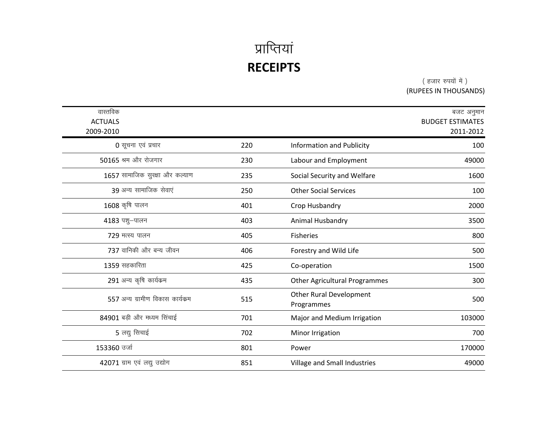( हजार रुपयों में ) (RUPEES IN THOUSANDS)

| वास्तविक<br><b>ACTUALS</b><br>2009-2010 |     |                                              | बजट अनुमान<br><b>BUDGET ESTIMATES</b><br>2011-2012 |
|-----------------------------------------|-----|----------------------------------------------|----------------------------------------------------|
| 0 सूचना एवं प्रचार                      | 220 | Information and Publicity                    | 100                                                |
| 50165 श्रम और रोजगार                    | 230 | Labour and Employment                        | 49000                                              |
| 1657 सामाजिक सुरक्षा और कल्याण          | 235 | Social Security and Welfare                  | 1600                                               |
| 39 अन्य सामाजिक सेवाएं                  | 250 | <b>Other Social Services</b>                 | 100                                                |
| 1608 कृषि पालन                          | 401 | Crop Husbandry                               | 2000                                               |
| 4183 पशु-पालन                           | 403 | Animal Husbandry                             | 3500                                               |
| 729 मत्स्य पालन                         | 405 | <b>Fisheries</b>                             | 800                                                |
| 737 वानिकी और बन्य जीवन                 | 406 | Forestry and Wild Life                       | 500                                                |
| 1359 सहकारिता                           | 425 | Co-operation                                 | 1500                                               |
| 291 अन्य कृषि कार्यक्रम                 | 435 | <b>Other Agricultural Programmes</b>         | 300                                                |
| 557 अन्य ग्रामीण विकास कार्यक्रम        | 515 | <b>Other Rural Development</b><br>Programmes | 500                                                |
| 84901 बड़ी और मध्यम सिंचाई              | 701 | Major and Medium Irrigation                  | 103000                                             |
| 5 लद्यु सिचाई                           | 702 | Minor Irrigation                             | 700                                                |
| 153360 उर्जा                            | 801 | Power                                        | 170000                                             |
| 42071 ग्राम एवं लद्यु उद्योग            | 851 | Village and Small Industries                 | 49000                                              |